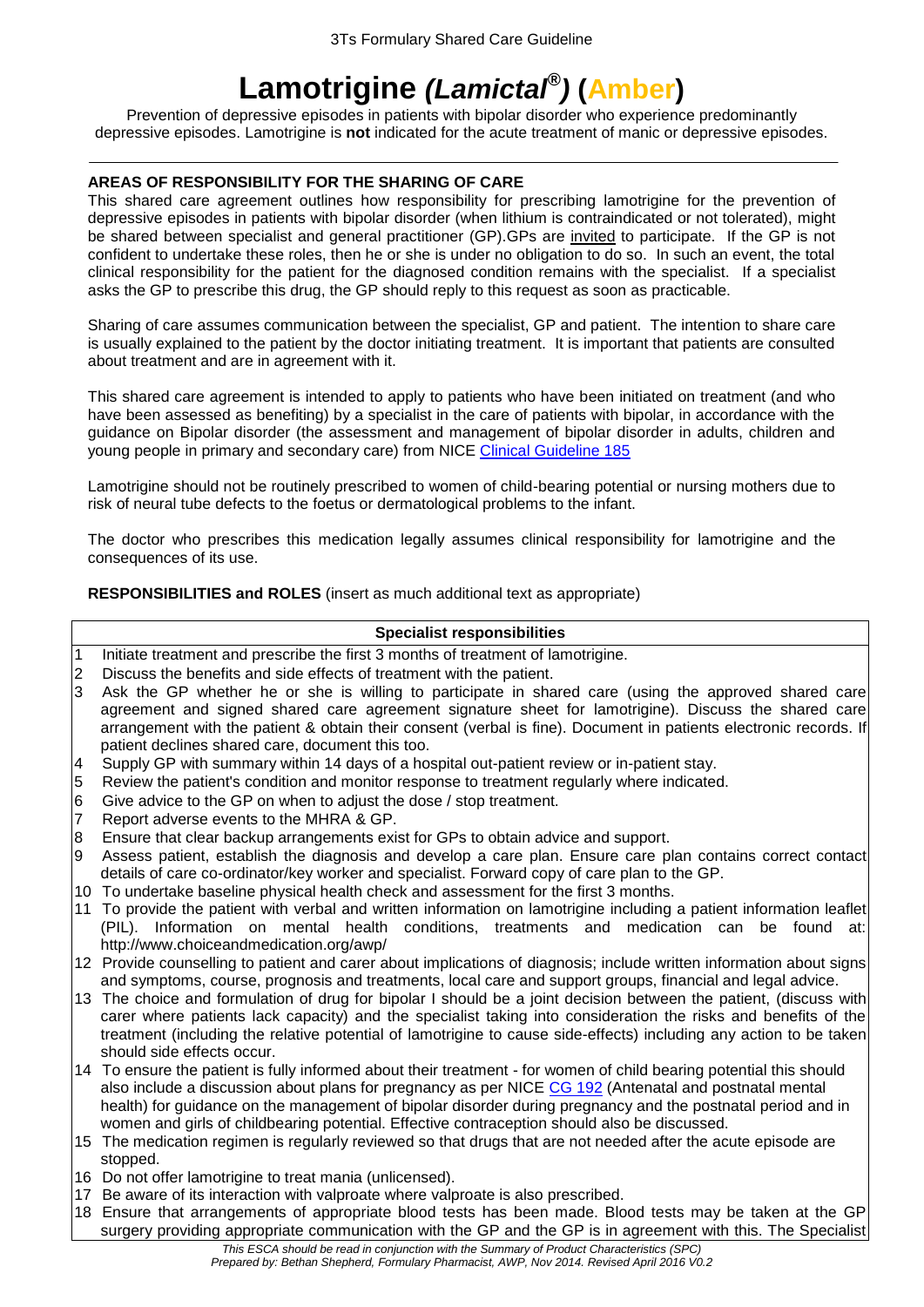# **Lamotrigine** *(Lamictal® )* **(Amber)**

Prevention of depressive episodes in patients with bipolar disorder who experience predominantly depressive episodes. Lamotrigine is **not** indicated for the acute treatment of manic or depressive episodes.

# **AREAS OF RESPONSIBILITY FOR THE SHARING OF CARE**

This shared care agreement outlines how responsibility for prescribing lamotrigine for the prevention of depressive episodes in patients with bipolar disorder (when lithium is contraindicated or not tolerated), might be shared between specialist and general practitioner (GP).GPs are invited to participate. If the GP is not confident to undertake these roles, then he or she is under no obligation to do so. In such an event, the total clinical responsibility for the patient for the diagnosed condition remains with the specialist. If a specialist asks the GP to prescribe this drug, the GP should reply to this request as soon as practicable.

Sharing of care assumes communication between the specialist, GP and patient. The intention to share care is usually explained to the patient by the doctor initiating treatment. It is important that patients are consulted about treatment and are in agreement with it.

This shared care agreement is intended to apply to patients who have been initiated on treatment (and who have been assessed as benefiting) by a specialist in the care of patients with bipolar, in accordance with the guidance on Bipolar disorder (the assessment and management of bipolar disorder in adults, children and young people in primary and secondary care) from NICE [Clinical Guideline 185](https://www.nice.org.uk/guidance/cg185)

Lamotrigine should not be routinely prescribed to women of child-bearing potential or nursing mothers due to risk of neural tube defects to the foetus or dermatological problems to the infant.

The doctor who prescribes this medication legally assumes clinical responsibility for lamotrigine and the consequences of its use.

**RESPONSIBILITIES and ROLES** (insert as much additional text as appropriate)

# **Specialist responsibilities**

- 1 Initiate treatment and prescribe the first 3 months of treatment of lamotrigine.
- 2 Discuss the benefits and side effects of treatment with the patient.
- 3 Ask the GP whether he or she is willing to participate in shared care (using the approved shared care agreement and signed shared care agreement signature sheet for lamotrigine). Discuss the shared care arrangement with the patient & obtain their consent (verbal is fine). Document in patients electronic records. If patient declines shared care, document this too.
- 4 Supply GP with summary within 14 days of a hospital out-patient review or in-patient stay.
- 5 Review the patient's condition and monitor response to treatment regularly where indicated.
- 6 Give advice to the GP on when to adjust the dose / stop treatment.
- 7 Report adverse events to the MHRA & GP.
- 8 Ensure that clear backup arrangements exist for GPs to obtain advice and support.
- 9 Assess patient, establish the diagnosis and develop a care plan. Ensure care plan contains correct contact details of care co-ordinator/key worker and specialist. Forward copy of care plan to the GP.
- 10 To undertake baseline physical health check and assessment for the first 3 months.
- 11 To provide the patient with verbal and written information on lamotrigine including a patient information leaflet (PIL). Information on mental health conditions, treatments and medication can be found at: http://www.choiceandmedication.org/awp/
- 12 Provide counselling to patient and carer about implications of diagnosis; include written information about signs and symptoms, course, prognosis and treatments, local care and support groups, financial and legal advice.
- 13 The choice and formulation of drug for bipolar I should be a joint decision between the patient, (discuss with carer where patients lack capacity) and the specialist taking into consideration the risks and benefits of the treatment (including the relative potential of lamotrigine to cause side-effects) including any action to be taken should side effects occur.
- 14 To ensure the patient is fully informed about their treatment for women of child bearing potential this should also include a discussion about plans for pregnancy as per NICE [CG 192](https://www.nice.org.uk/guidance/cg192) (Antenatal and postnatal mental health) for guidance on the management of bipolar disorder during pregnancy and the postnatal period and in women and girls of childbearing potential. Effective contraception should also be discussed.
- 15 The medication regimen is regularly reviewed so that drugs that are not needed after the acute episode are stopped.
- 16 Do not offer lamotrigine to treat mania (unlicensed).
- 17 Be aware of its interaction with valproate where valproate is also prescribed.
- 18 Ensure that arrangements of appropriate blood tests has been made. Blood tests may be taken at the GP surgery providing appropriate communication with the GP and the GP is in agreement with this. The Specialist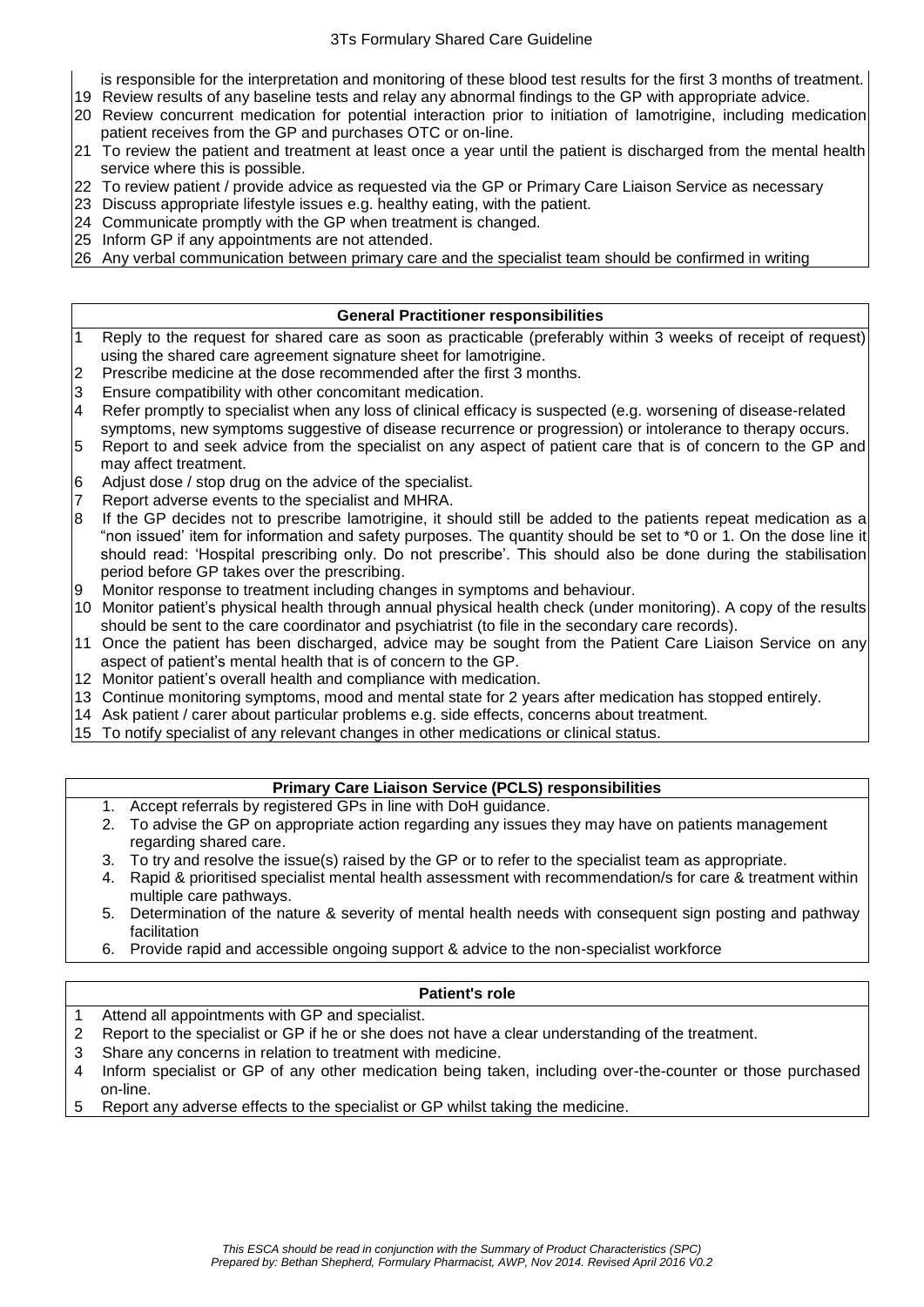- is responsible for the interpretation and monitoring of these blood test results for the first 3 months of treatment.
- 19 Review results of any baseline tests and relay any abnormal findings to the GP with appropriate advice.
- 20 Review concurrent medication for potential interaction prior to initiation of lamotrigine, including medication patient receives from the GP and purchases OTC or on-line.
- 21 To review the patient and treatment at least once a year until the patient is discharged from the mental health service where this is possible.
- 22 To review patient / provide advice as requested via the GP or Primary Care Liaison Service as necessary
- 23 Discuss appropriate lifestyle issues e.g. healthy eating, with the patient.
- 24 Communicate promptly with the GP when treatment is changed.
- 25 Inform GP if any appointments are not attended.
- 26 Any verbal communication between primary care and the specialist team should be confirmed in writing

# **General Practitioner responsibilities**

- 1 Reply to the request for shared care as soon as practicable (preferably within 3 weeks of receipt of request) using the shared care agreement signature sheet for lamotrigine.
- 2 Prescribe medicine at the dose recommended after the first 3 months.
- 3 Ensure compatibility with other concomitant medication.
- 4 Refer promptly to specialist when any loss of clinical efficacy is suspected (e.g. worsening of disease-related symptoms, new symptoms suggestive of disease recurrence or progression) or intolerance to therapy occurs.
- 5 Report to and seek advice from the specialist on any aspect of patient care that is of concern to the GP and may affect treatment.
- 6 Adjust dose / stop drug on the advice of the specialist.
- 7 Report adverse events to the specialist and MHRA.<br>8 If the GP decides not to prescribe lamotrigine, it s
- If the GP decides not to prescribe lamotrigine, it should still be added to the patients repeat medication as a "non issued' item for information and safety purposes. The quantity should be set to \*0 or 1. On the dose line it should read: 'Hospital prescribing only. Do not prescribe'. This should also be done during the stabilisation period before GP takes over the prescribing.
- 9 Monitor response to treatment including changes in symptoms and behaviour.
- 10 Monitor patient's physical health through annual physical health check (under monitoring). A copy of the results should be sent to the care coordinator and psychiatrist (to file in the secondary care records).
- 11 Once the patient has been discharged, advice may be sought from the Patient Care Liaison Service on any aspect of patient's mental health that is of concern to the GP.
- 12 Monitor patient's overall health and compliance with medication.
- 13 Continue monitoring symptoms, mood and mental state for 2 years after medication has stopped entirely.
- 14 Ask patient / carer about particular problems e.g. side effects, concerns about treatment.
- 15 To notify specialist of any relevant changes in other medications or clinical status.

# **Primary Care Liaison Service (PCLS) responsibilities**

- 1. Accept referrals by registered GPs in line with DoH guidance.
- 2. To advise the GP on appropriate action regarding any issues they may have on patients management regarding shared care.
- 3. To try and resolve the issue(s) raised by the GP or to refer to the specialist team as appropriate.
- 4. Rapid & prioritised specialist mental health assessment with recommendation/s for care & treatment within multiple care pathways.
- 5. Determination of the nature & severity of mental health needs with consequent sign posting and pathway facilitation
- 6. Provide rapid and accessible ongoing support & advice to the non-specialist workforce

# **Patient's role**

- 1 Attend all appointments with GP and specialist.
- 2 Report to the specialist or GP if he or she does not have a clear understanding of the treatment.
- 3 Share any concerns in relation to treatment with medicine.
- 4 Inform specialist or GP of any other medication being taken, including over-the-counter or those purchased on-line.
- 5 Report any adverse effects to the specialist or GP whilst taking the medicine.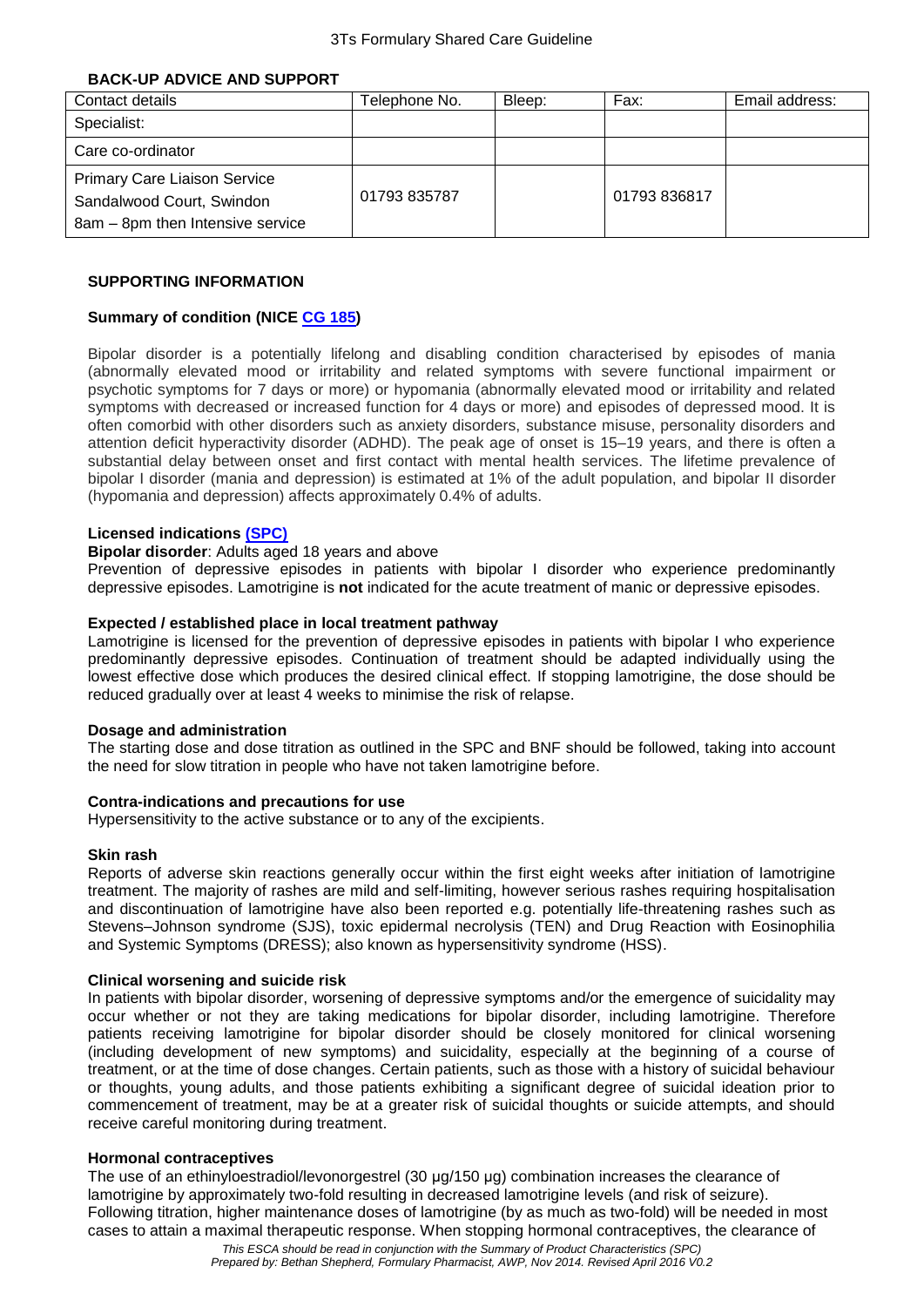#### **BACK-UP ADVICE AND SUPPORT**

| Contact details                     | Telephone No. | Bleep: | Fax:        | Email address: |
|-------------------------------------|---------------|--------|-------------|----------------|
| Specialist:                         |               |        |             |                |
| Care co-ordinator                   |               |        |             |                |
| <b>Primary Care Liaison Service</b> |               |        |             |                |
| Sandalwood Court, Swindon           | 01793835787   |        | 01793836817 |                |
| 8am - 8pm then Intensive service    |               |        |             |                |

## **SUPPORTING INFORMATION**

#### **Summary of condition (NICE [CG 185\)](https://www.nice.org.uk/guidance/cg185)**

Bipolar disorder is a potentially lifelong and disabling condition characterised by episodes of mania (abnormally elevated mood or irritability and related symptoms with severe functional impairment or psychotic symptoms for 7 days or more) or hypomania (abnormally elevated mood or irritability and related symptoms with decreased or increased function for 4 days or more) and episodes of depressed mood. It is often comorbid with other disorders such as anxiety disorders, substance misuse, personality disorders and attention deficit hyperactivity disorder (ADHD). The peak age of onset is 15–19 years, and there is often a substantial delay between onset and first contact with mental health services. The lifetime prevalence of bipolar I disorder (mania and depression) is estimated at 1% of the adult population, and bipolar II disorder (hypomania and depression) affects approximately 0.4% of adults.

#### **Licensed indications [\(SPC\)](http://www.medicines.org.uk/emc/medicine/4228)**

# **Bipolar disorder**: Adults aged 18 years and above

Prevention of depressive episodes in patients with bipolar I disorder who experience predominantly depressive episodes. Lamotrigine is **not** indicated for the acute treatment of manic or depressive episodes.

#### **Expected / established place in local treatment pathway**

Lamotrigine is licensed for the prevention of depressive episodes in patients with bipolar I who experience predominantly depressive episodes. Continuation of treatment should be adapted individually using the lowest effective dose which produces the desired clinical effect. If stopping lamotrigine, the dose should be reduced gradually over at least 4 weeks to minimise the risk of relapse.

#### **Dosage and administration**

The starting dose and dose titration as outlined in the SPC and BNF should be followed, taking into account the need for slow titration in people who have not taken lamotrigine before.

#### **Contra-indications and precautions for use**

Hypersensitivity to the active substance or to any of the excipients.

#### **Skin rash**

Reports of adverse skin reactions generally occur within the first eight weeks after initiation of lamotrigine treatment. The majority of rashes are mild and self-limiting, however serious rashes requiring hospitalisation and discontinuation of lamotrigine have also been reported e.g. potentially life-threatening rashes such as Stevens–Johnson syndrome (SJS), toxic epidermal necrolysis (TEN) and Drug Reaction with Eosinophilia and Systemic Symptoms (DRESS); also known as hypersensitivity syndrome (HSS).

#### **Clinical worsening and suicide risk**

In patients with bipolar disorder, worsening of depressive symptoms and/or the emergence of suicidality may occur whether or not they are taking medications for bipolar disorder, including lamotrigine. Therefore patients receiving lamotrigine for bipolar disorder should be closely monitored for clinical worsening (including development of new symptoms) and suicidality, especially at the beginning of a course of treatment, or at the time of dose changes. Certain patients, such as those with a history of suicidal behaviour or thoughts, young adults, and those patients exhibiting a significant degree of suicidal ideation prior to commencement of treatment, may be at a greater risk of suicidal thoughts or suicide attempts, and should receive careful monitoring during treatment.

#### **Hormonal contraceptives**

The use of an ethinyloestradiol/levonorgestrel (30 μg/150 μg) combination increases the clearance of lamotrigine by approximately two-fold resulting in decreased lamotrigine levels (and risk of seizure). Following titration, higher maintenance doses of lamotrigine (by as much as two-fold) will be needed in most cases to attain a maximal therapeutic response. When stopping hormonal contraceptives, the clearance of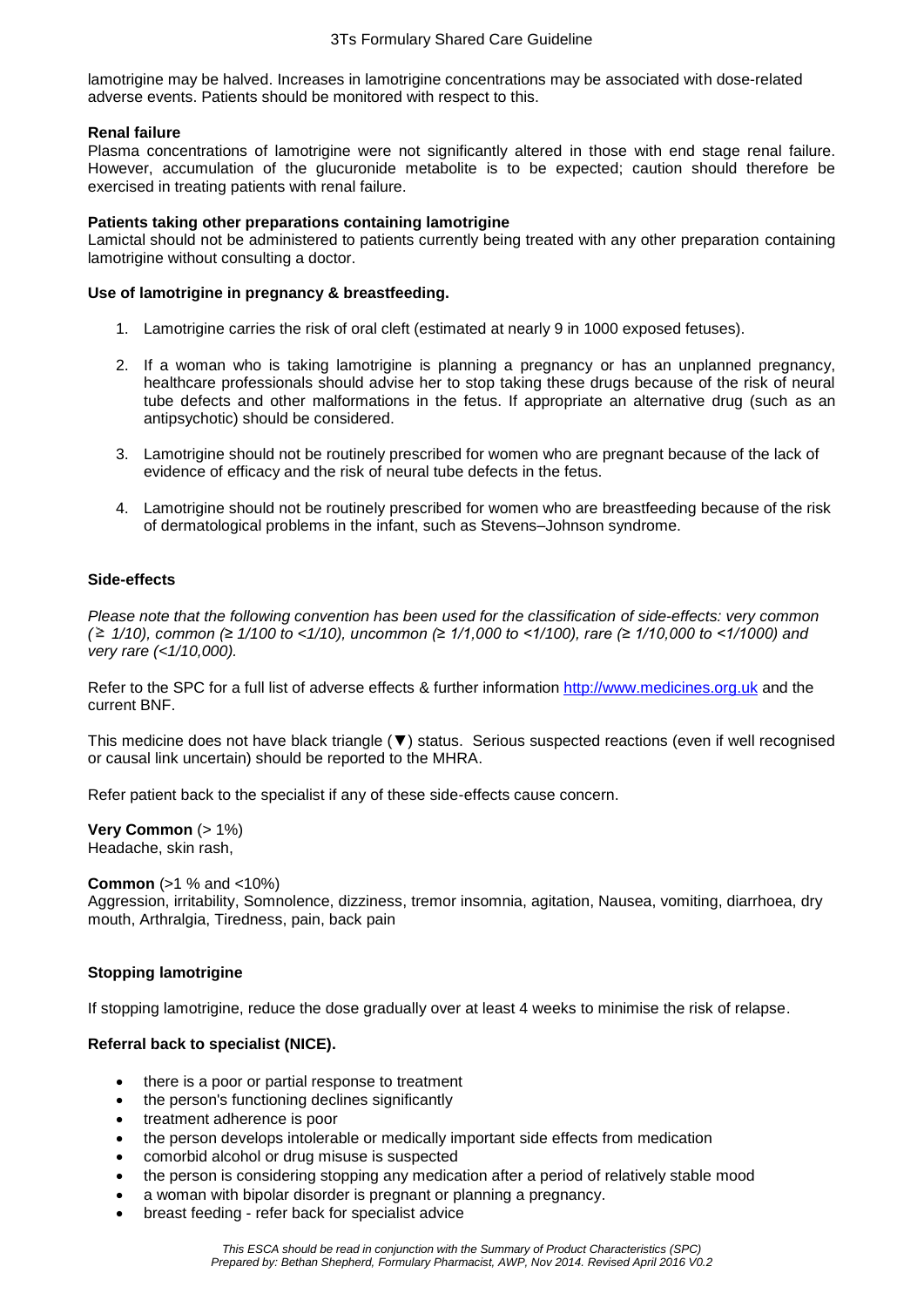lamotrigine may be halved. Increases in lamotrigine concentrations may be associated with dose-related adverse events. Patients should be monitored with respect to this.

## **Renal failure**

Plasma concentrations of lamotrigine were not significantly altered in those with end stage renal failure. However, accumulation of the glucuronide metabolite is to be expected; caution should therefore be exercised in treating patients with renal failure.

## **Patients taking other preparations containing lamotrigine**

Lamictal should not be administered to patients currently being treated with any other preparation containing lamotrigine without consulting a doctor.

## **Use of lamotrigine in pregnancy & breastfeeding.**

- 1. Lamotrigine carries the risk of oral cleft (estimated at nearly 9 in 1000 exposed fetuses).
- 2. If a woman who is taking lamotrigine is planning a pregnancy or has an unplanned pregnancy, healthcare professionals should advise her to stop taking these drugs because of the risk of neural tube defects and other malformations in the fetus. If appropriate an alternative drug (such as an antipsychotic) should be considered.
- 3. Lamotrigine should not be routinely prescribed for women who are pregnant because of the lack of evidence of efficacy and the risk of neural tube defects in the fetus.
- 4. Lamotrigine should not be routinely prescribed for women who are breastfeeding because of the risk of dermatological problems in the infant, such as Stevens–Johnson syndrome.

## **Side-effects**

*Please note that the following convention has been used for the classification of side-effects: very common ( 1/10), common (≥ 1/100 to <1/10), uncommon (≥ 1/1,000 to <1/100), rare (≥ 1/10,000 to <1/1000) and very rare (<1/10,000).*

Refer to the SPC for a full list of adverse effects & further information [http://www.medicines.org.uk](http://www.medicines.org.uk/) and the current BNF.

This medicine does not have black triangle (▼) status. Serious suspected reactions (even if well recognised or causal link uncertain) should be reported to the MHRA.

Refer patient back to the specialist if any of these side-effects cause concern.

**Very Common** (> 1%) Headache, skin rash,

#### **Common** (>1 % and <10%)

Aggression, irritability, Somnolence, dizziness, tremor insomnia, agitation, Nausea, vomiting, diarrhoea, dry mouth, Arthralgia, Tiredness, pain, back pain

# **Stopping lamotrigine**

If stopping lamotrigine, reduce the dose gradually over at least 4 weeks to minimise the risk of relapse.

# **Referral back to specialist (NICE).**

- there is a poor or partial response to treatment
- the person's functioning declines significantly
- treatment adherence is poor
- the person develops intolerable or medically important side effects from medication
- comorbid alcohol or drug misuse is suspected
- the person is considering stopping any medication after a period of relatively stable mood
- a woman with bipolar disorder is pregnant or planning a pregnancy.
- breast feeding refer back for specialist advice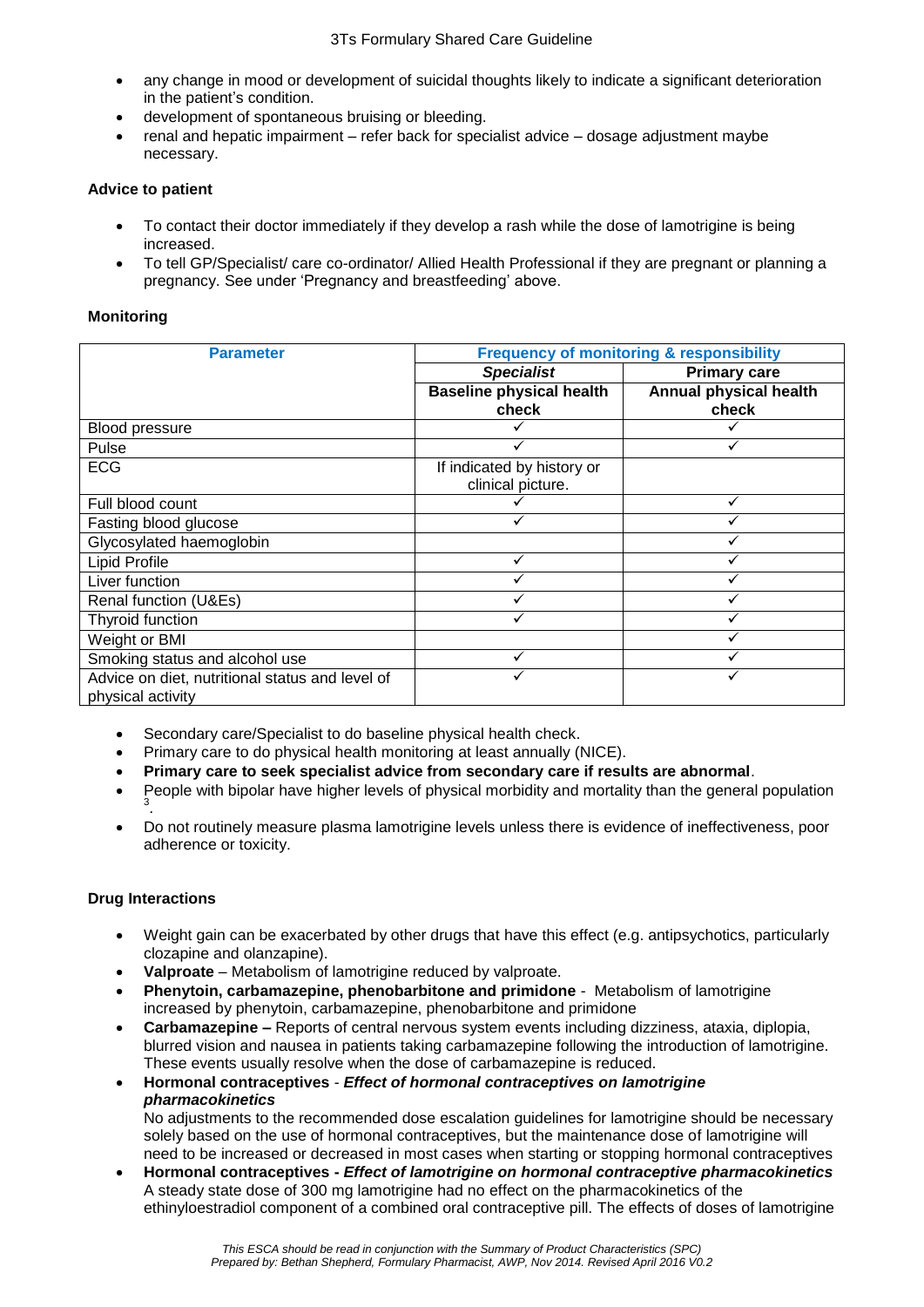- any change in mood or development of suicidal thoughts likely to indicate a significant deterioration in the patient's condition.
- development of spontaneous bruising or bleeding.
- renal and hepatic impairment refer back for specialist advice dosage adjustment maybe necessary.

# **Advice to patient**

- To contact their doctor immediately if they develop a rash while the dose of lamotrigine is being increased.
- To tell GP/Specialist/ care co-ordinator/ Allied Health Professional if they are pregnant or planning a pregnancy. See under 'Pregnancy and breastfeeding' above.

## **Monitoring**

| <b>Parameter</b>                                | <b>Frequency of monitoring &amp; responsibility</b> |                        |  |  |
|-------------------------------------------------|-----------------------------------------------------|------------------------|--|--|
|                                                 | <b>Specialist</b>                                   | <b>Primary care</b>    |  |  |
|                                                 | <b>Baseline physical health</b>                     | Annual physical health |  |  |
|                                                 | check                                               | check                  |  |  |
| <b>Blood pressure</b>                           |                                                     |                        |  |  |
| Pulse                                           |                                                     |                        |  |  |
| <b>ECG</b>                                      | If indicated by history or                          |                        |  |  |
|                                                 | clinical picture.                                   |                        |  |  |
| Full blood count                                |                                                     |                        |  |  |
| Fasting blood glucose                           |                                                     |                        |  |  |
| Glycosylated haemoglobin                        |                                                     |                        |  |  |
| Lipid Profile                                   |                                                     |                        |  |  |
| Liver function                                  |                                                     |                        |  |  |
| Renal function (U&Es)                           |                                                     |                        |  |  |
| Thyroid function                                |                                                     |                        |  |  |
| Weight or BMI                                   |                                                     |                        |  |  |
| Smoking status and alcohol use                  |                                                     |                        |  |  |
| Advice on diet, nutritional status and level of |                                                     |                        |  |  |
| physical activity                               |                                                     |                        |  |  |

- Secondary care/Specialist to do baseline physical health check.
- Primary care to do physical health monitoring at least annually (NICE).
- **Primary care to seek specialist advice from secondary care if results are abnormal**.
- People with bipolar have higher levels of physical morbidity and mortality than the general population 3
- . Do not routinely measure plasma lamotrigine levels unless there is evidence of ineffectiveness, poor adherence or toxicity.

# **Drug Interactions**

- Weight gain can be exacerbated by other drugs that have this effect (e.g. antipsychotics, particularly clozapine and olanzapine).
- **Valproate** Metabolism of lamotrigine reduced by valproate.
- **Phenytoin, carbamazepine, phenobarbitone and primidone** Metabolism of lamotrigine increased by phenytoin, carbamazepine, phenobarbitone and primidone
- **Carbamazepine –** Reports of central nervous system events including dizziness, ataxia, diplopia, blurred vision and nausea in patients taking carbamazepine following the introduction of lamotrigine. These events usually resolve when the dose of carbamazepine is reduced.
- **Hormonal contraceptives** *Effect of hormonal contraceptives on lamotrigine pharmacokinetics*

No adjustments to the recommended dose escalation guidelines for lamotrigine should be necessary solely based on the use of hormonal contraceptives, but the maintenance dose of lamotrigine will need to be increased or decreased in most cases when starting or stopping hormonal contraceptives

 **Hormonal contraceptives -** *Effect of lamotrigine on hormonal contraceptive pharmacokinetics* A steady state dose of 300 mg lamotrigine had no effect on the pharmacokinetics of the ethinyloestradiol component of a combined oral contraceptive pill. The effects of doses of lamotrigine